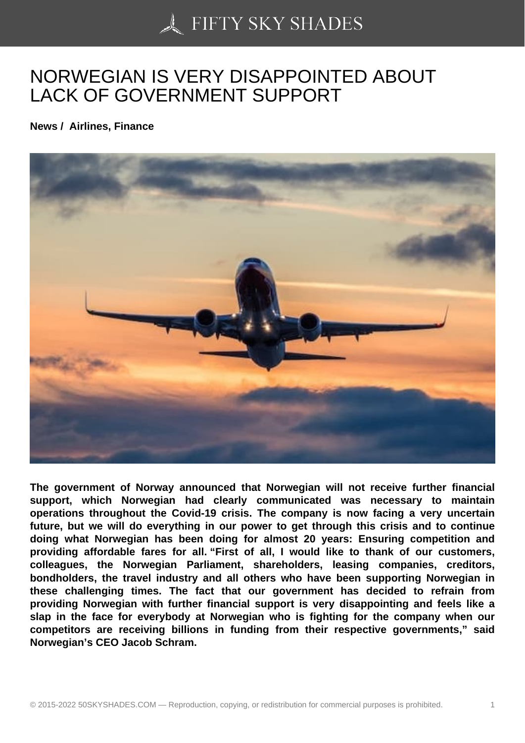## [NORWEGIAN IS VERY](https://50skyshades.com) DISAPPOINTED ABOUT LACK OF GOVERNMENT SUPPORT

News / Airlines, Finance

The government of Norway announced that Norwegian will not receive further financial support, which Norwegian had clearly communicated was necessary to maintain operations throughout the Covid-19 crisis. The company is now facing a very uncertain future, but we will do everything in our power to get through this crisis and to continue doing what Norwegian has been doing for almost 20 years: Ensuring competition and providing affordable fares for all. "First of all, I would like to thank of our customers, colleagues, the Norwegian Parliament, shareholders, leasing companies, creditors, bondholders, the travel industry and all others who have been supporting Norwegian in these challenging times. The fact that our government has decided to refrain from providing Norwegian with further financial support is very disappointing and feels like a slap in the face for everybody at Norwegian who is fighting for the company when our competitors are receiving billions in funding from their respective governments," said Norwegian's CEO Jacob Schram.